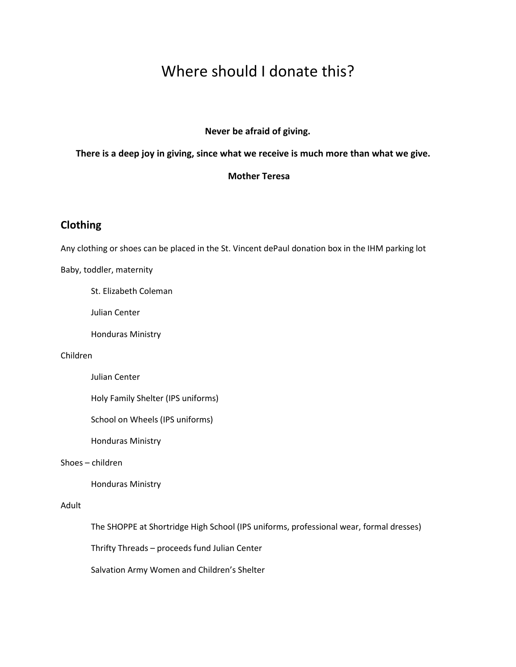# Where should I donate this?

## **Never be afraid of giving.**

# **There is a deep joy in giving, since what we receive is much more than what we give.**

# **Mother Teresa**

# **Clothing**

Any clothing or shoes can be placed in the St. Vincent dePaul donation box in the IHM parking lot

Baby, toddler, maternity

St. Elizabeth Coleman

Julian Center

Honduras Ministry

#### Children

Julian Center

Holy Family Shelter (IPS uniforms)

School on Wheels (IPS uniforms)

Honduras Ministry

## Shoes – children

Honduras Ministry

## Adult

The SHOPPE at Shortridge High School (IPS uniforms, professional wear, formal dresses)

Thrifty Threads – proceeds fund Julian Center

Salvation Army Women and Children's Shelter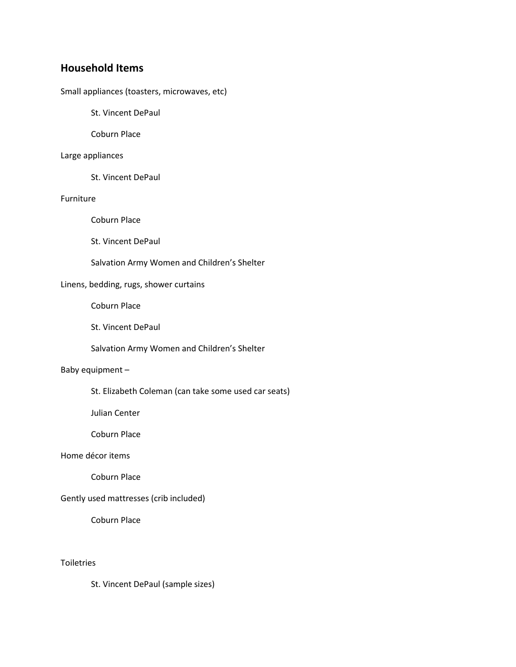# **Household Items**

Small appliances (toasters, microwaves, etc)

St. Vincent DePaul

Coburn Place

#### Large appliances

St. Vincent DePaul

#### Furniture

Coburn Place

St. Vincent DePaul

Salvation Army Women and Children's Shelter

# Linens, bedding, rugs, shower curtains

Coburn Place

St. Vincent DePaul

Salvation Army Women and Children's Shelter

#### Baby equipment –

St. Elizabeth Coleman (can take some used car seats)

Julian Center

Coburn Place

# Home décor items

Coburn Place

# Gently used mattresses (crib included)

Coburn Place

# **Toiletries**

St. Vincent DePaul (sample sizes)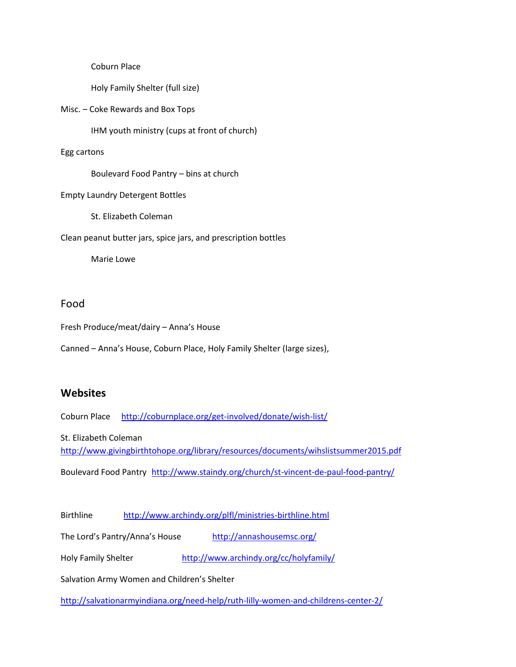Coburn Place

Holy Family Shelter (full size)

Misc. – Coke Rewards and Box Tops

IHM youth ministry (cups at front of church)

#### Egg cartons

Boulevard Food Pantry – bins at church

Empty Laundry Detergent Bottles

St. Elizabeth Coleman

Clean peanut butter jars, spice jars, and prescription bottles

Marie Lowe

# Food

Fresh Produce/meat/dairy – Anna's House

Canned – Anna's House, Coburn Place, Holy Family Shelter (large sizes),

# **Websites**

Coburn Place <http://coburnplace.org/get-involved/donate/wish-list/>

St. Elizabeth Coleman <http://www.givingbirthtohope.org/library/resources/documents/wihslistsummer2015.pdf> Boulevard Food Pantry <http://www.staindy.org/church/st-vincent-de-paul-food-pantry/>

Birthline <http://www.archindy.org/plfl/ministries-birthline.html>

The Lord's Pantry/Anna's House <http://annashousemsc.org/>

Holy Family Shelter <http://www.archindy.org/cc/holyfamily/>

Salvation Army Women and Children's Shelter

<http://salvationarmyindiana.org/need-help/ruth-lilly-women-and-childrens-center-2/>